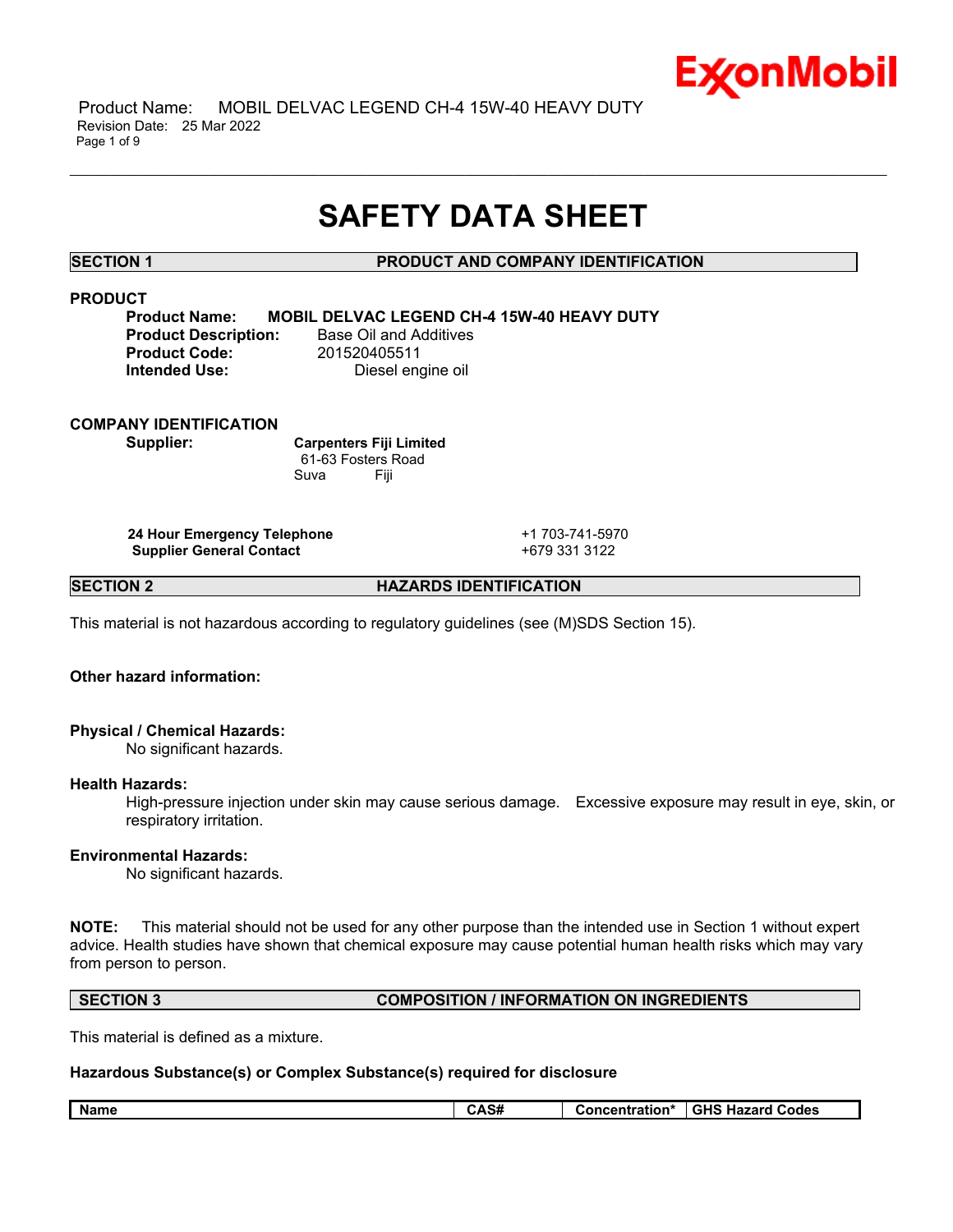

 Product Name: MOBIL DELVAC LEGEND CH-4 15W-40 HEAVY DUTY Revision Date: 25 Mar 2022 Page 1 of 9

# **SAFETY DATA SHEET**

\_\_\_\_\_\_\_\_\_\_\_\_\_\_\_\_\_\_\_\_\_\_\_\_\_\_\_\_\_\_\_\_\_\_\_\_\_\_\_\_\_\_\_\_\_\_\_\_\_\_\_\_\_\_\_\_\_\_\_\_\_\_\_\_\_\_\_\_\_\_\_\_\_\_\_\_\_\_\_\_\_\_\_\_\_\_\_\_\_\_\_\_\_\_\_\_\_\_\_\_\_\_\_\_\_\_\_\_\_\_\_\_\_\_\_\_\_\_

# **SECTION 1 PRODUCT AND COMPANY IDENTIFICATION**

# **PRODUCT**

**Product Name: MOBIL DELVAC LEGEND CH-4 15W-40 HEAVY DUTY Product Code:** 201520405511

**Product Description:** Base Oil and Additives **Intended Use:** Diesel engine oil

# **COMPANY IDENTIFICATION**

**Supplier: Carpenters Fiji Limited** 61-63 Fosters Road Suva Fiji

**24 Hour Emergency Telephone** +1 703-741-5970 **Supplier General Contact** +679 331 3122

**SECTION 2 HAZARDS IDENTIFICATION**

This material is not hazardous according to regulatory guidelines (see (M)SDS Section 15).

# **Other hazard information:**

# **Physical / Chemical Hazards:**

No significant hazards.

### **Health Hazards:**

High-pressure injection under skin may cause serious damage. Excessive exposure may result in eye, skin, or respiratory irritation.

### **Environmental Hazards:**

No significant hazards.

**NOTE:** This material should not be used for any other purpose than the intended use in Section 1 without expert advice. Health studies have shown that chemical exposure may cause potential human health risks which may vary from person to person.

# **SECTION 3 COMPOSITION / INFORMATION ON INGREDIENTS**

This material is defined as a mixture.

### **Hazardous Substance(s) or Complex Substance(s) required for disclosure**

| <b>Name</b><br><b>GHS Hazard</b><br><b>Codes</b><br>tration'<br>45#<br>:enti<br>$\cdot$ . $\cdot$ |
|---------------------------------------------------------------------------------------------------|
|---------------------------------------------------------------------------------------------------|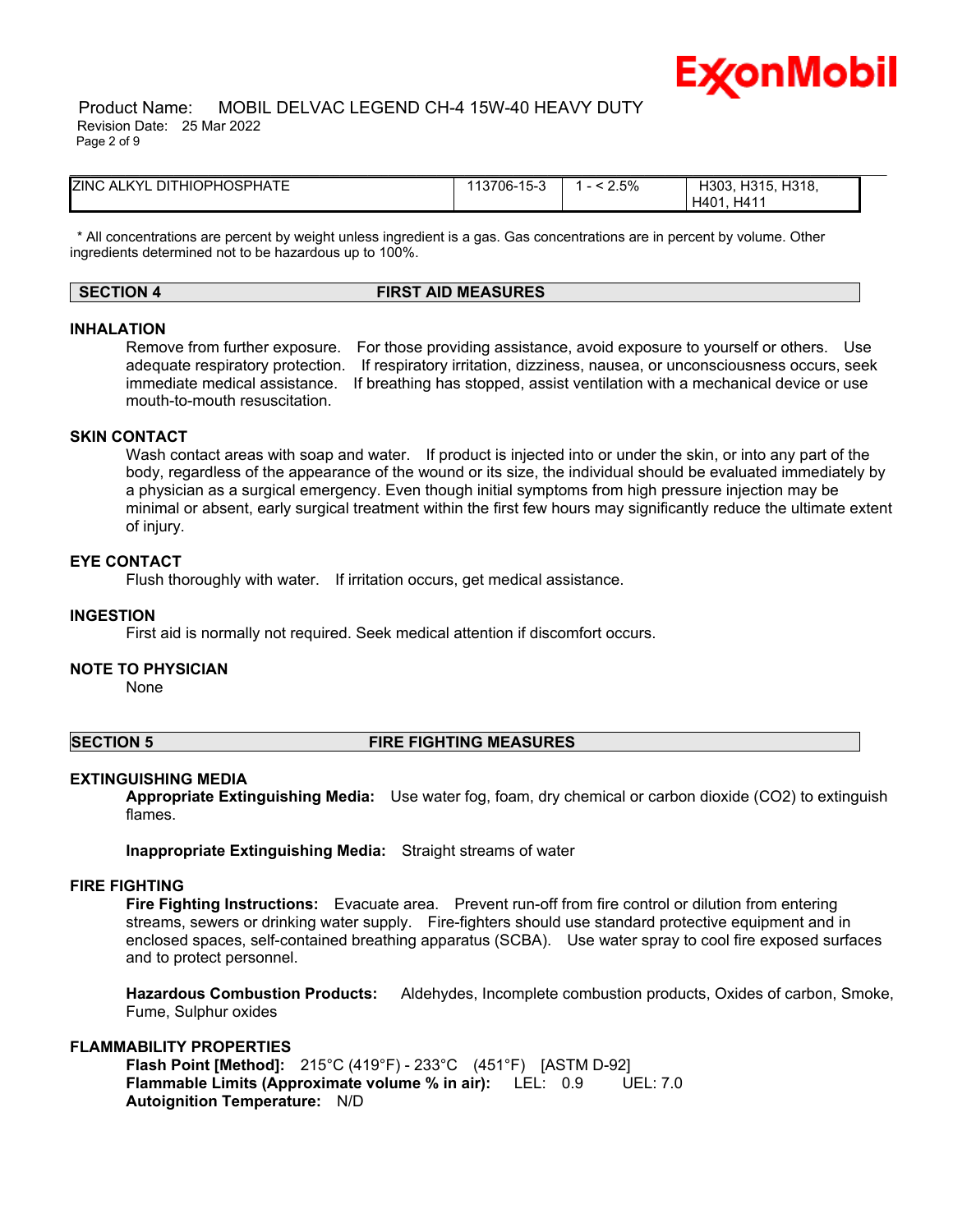

 Product Name: MOBIL DELVAC LEGEND CH-4 15W-40 HEAVY DUTY Revision Date: 25 Mar 2022 Page 2 of 9

| <b>ZINC ALKYL DITHIOPHOSPHATE</b> | 13706-15-3 | 2.5% | H318.<br>H303, H315,<br>H41<br>H401 |  |
|-----------------------------------|------------|------|-------------------------------------|--|

\* All concentrations are percent by weight unless ingredient is a gas. Gas concentrations are in percent by volume. Other ingredients determined not to be hazardous up to 100%.

# **SECTION 4 FIRST AID MEASURES**

### **INHALATION**

Remove from further exposure. For those providing assistance, avoid exposure to yourself or others. Use adequate respiratory protection. If respiratory irritation, dizziness, nausea, or unconsciousness occurs, seek immediate medical assistance. If breathing has stopped, assist ventilation with a mechanical device or use mouth-to-mouth resuscitation.

# **SKIN CONTACT**

Wash contact areas with soap and water. If product is injected into or under the skin, or into any part of the body, regardless of the appearance of the wound or its size, the individual should be evaluated immediately by a physician as a surgical emergency. Even though initial symptoms from high pressure injection may be minimal or absent, early surgical treatment within the first few hours may significantly reduce the ultimate extent of injury.

### **EYE CONTACT**

Flush thoroughly with water. If irritation occurs, get medical assistance.

### **INGESTION**

First aid is normally not required. Seek medical attention if discomfort occurs.

### **NOTE TO PHYSICIAN**

None

#### **SECTION 5 FIRE FIGHTING MEASURES**

### **EXTINGUISHING MEDIA**

**Appropriate Extinguishing Media:** Use water fog, foam, dry chemical or carbon dioxide (CO2) to extinguish flames.

**Inappropriate Extinguishing Media:** Straight streams of water

#### **FIRE FIGHTING**

**Fire Fighting Instructions:** Evacuate area. Prevent run-off from fire control or dilution from entering streams, sewers or drinking water supply. Fire-fighters should use standard protective equipment and in enclosed spaces, self-contained breathing apparatus (SCBA). Use water spray to cool fire exposed surfaces and to protect personnel.

**Hazardous Combustion Products:** Aldehydes, Incomplete combustion products, Oxides of carbon, Smoke, Fume, Sulphur oxides

### **FLAMMABILITY PROPERTIES**

**Flash Point [Method]:** 215°C (419°F) - 233°C (451°F) [ASTM D-92] **Flammable Limits (Approximate volume % in air):** LEL: 0.9 UEL: 7.0 **Autoignition Temperature:** N/D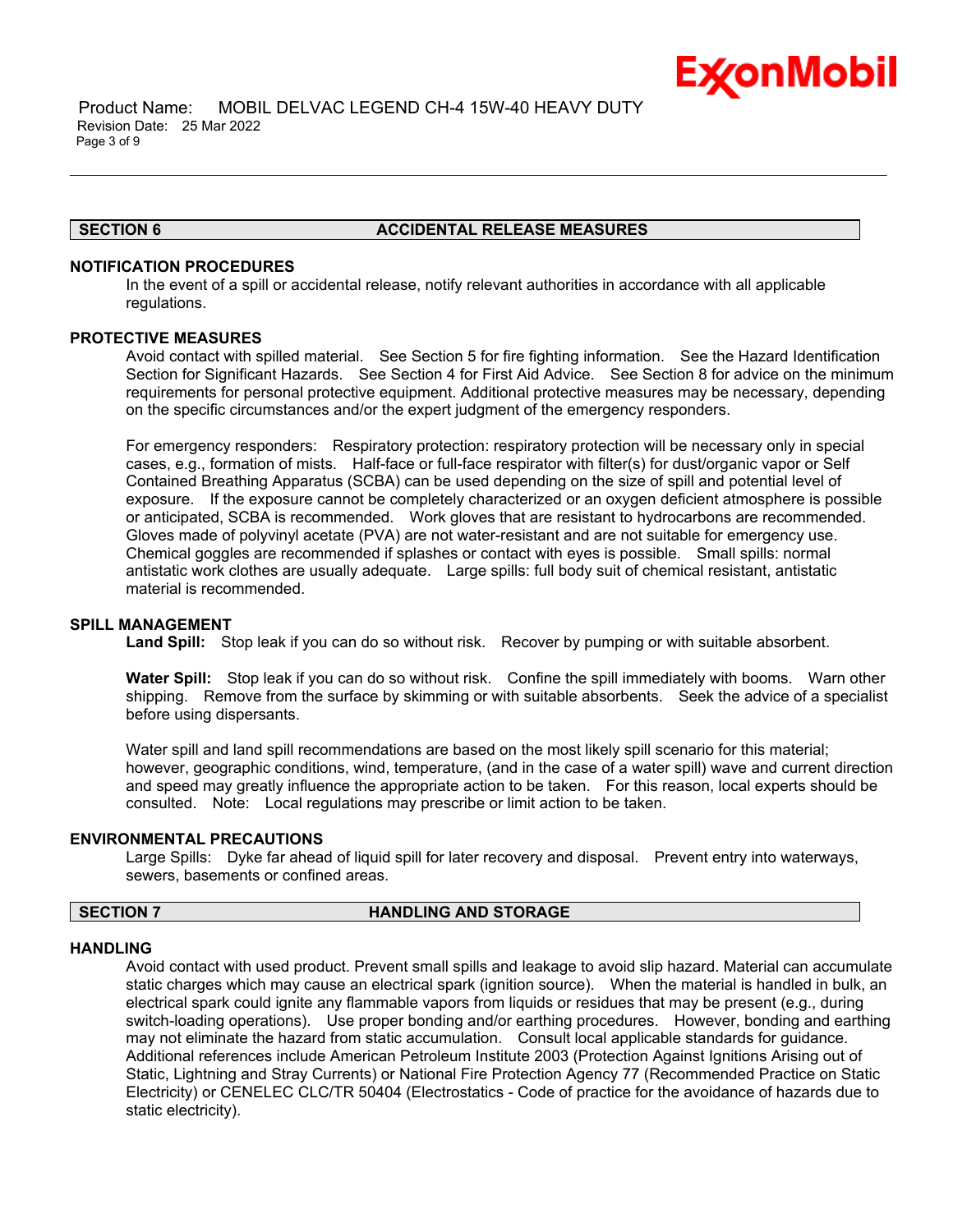

 Product Name: MOBIL DELVAC LEGEND CH-4 15W-40 HEAVY DUTY Revision Date: 25 Mar 2022 Page 3 of 9

# **SECTION 6 ACCIDENTAL RELEASE MEASURES**

# **NOTIFICATION PROCEDURES**

In the event of a spill or accidental release, notify relevant authorities in accordance with all applicable regulations.

\_\_\_\_\_\_\_\_\_\_\_\_\_\_\_\_\_\_\_\_\_\_\_\_\_\_\_\_\_\_\_\_\_\_\_\_\_\_\_\_\_\_\_\_\_\_\_\_\_\_\_\_\_\_\_\_\_\_\_\_\_\_\_\_\_\_\_\_\_\_\_\_\_\_\_\_\_\_\_\_\_\_\_\_\_\_\_\_\_\_\_\_\_\_\_\_\_\_\_\_\_\_\_\_\_\_\_\_\_\_\_\_\_\_\_\_\_\_

### **PROTECTIVE MEASURES**

Avoid contact with spilled material. See Section 5 for fire fighting information. See the Hazard Identification Section for Significant Hazards. See Section 4 for First Aid Advice. See Section 8 for advice on the minimum requirements for personal protective equipment. Additional protective measures may be necessary, depending on the specific circumstances and/or the expert judgment of the emergency responders.

For emergency responders: Respiratory protection: respiratory protection will be necessary only in special cases, e.g., formation of mists. Half-face or full-face respirator with filter(s) for dust/organic vapor or Self Contained Breathing Apparatus (SCBA) can be used depending on the size of spill and potential level of exposure. If the exposure cannot be completely characterized or an oxygen deficient atmosphere is possible or anticipated, SCBA is recommended. Work gloves that are resistant to hydrocarbons are recommended. Gloves made of polyvinyl acetate (PVA) are not water-resistant and are not suitable for emergency use. Chemical goggles are recommended if splashes or contact with eyes is possible. Small spills: normal antistatic work clothes are usually adequate. Large spills: full body suit of chemical resistant, antistatic material is recommended.

### **SPILL MANAGEMENT**

**Land Spill:** Stop leak if you can do so without risk. Recover by pumping or with suitable absorbent.

**Water Spill:** Stop leak if you can do so without risk. Confine the spill immediately with booms. Warn other shipping. Remove from the surface by skimming or with suitable absorbents. Seek the advice of a specialist before using dispersants.

Water spill and land spill recommendations are based on the most likely spill scenario for this material; however, geographic conditions, wind, temperature, (and in the case of a water spill) wave and current direction and speed may greatly influence the appropriate action to be taken. For this reason, local experts should be consulted. Note: Local regulations may prescribe or limit action to be taken.

# **ENVIRONMENTAL PRECAUTIONS**

Large Spills: Dyke far ahead of liquid spill for later recovery and disposal. Prevent entry into waterways, sewers, basements or confined areas.

# **SECTION 7 HANDLING AND STORAGE**

### **HANDLING**

Avoid contact with used product. Prevent small spills and leakage to avoid slip hazard. Material can accumulate static charges which may cause an electrical spark (ignition source). When the material is handled in bulk, an electrical spark could ignite any flammable vapors from liquids or residues that may be present (e.g., during switch-loading operations). Use proper bonding and/or earthing procedures. However, bonding and earthing may not eliminate the hazard from static accumulation. Consult local applicable standards for guidance. Additional references include American Petroleum Institute 2003 (Protection Against Ignitions Arising out of Static, Lightning and Stray Currents) or National Fire Protection Agency 77 (Recommended Practice on Static Electricity) or CENELEC CLC/TR 50404 (Electrostatics - Code of practice for the avoidance of hazards due to static electricity).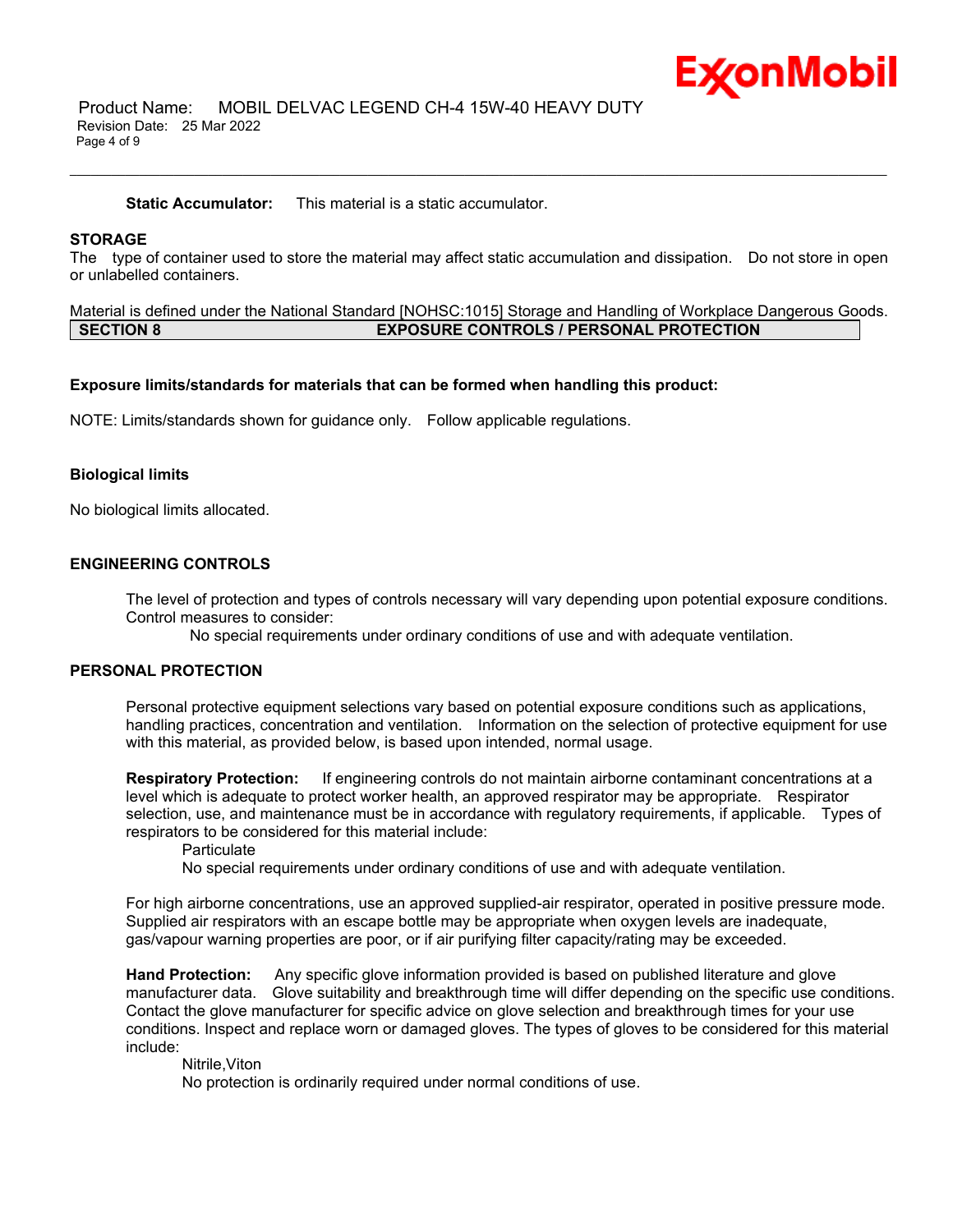

 Product Name: MOBIL DELVAC LEGEND CH-4 15W-40 HEAVY DUTY Revision Date: 25 Mar 2022 Page 4 of 9

**Static Accumulator:** This material is a static accumulator.

### **STORAGE**

The type of container used to store the material may affect static accumulation and dissipation. Do not store in open or unlabelled containers.

\_\_\_\_\_\_\_\_\_\_\_\_\_\_\_\_\_\_\_\_\_\_\_\_\_\_\_\_\_\_\_\_\_\_\_\_\_\_\_\_\_\_\_\_\_\_\_\_\_\_\_\_\_\_\_\_\_\_\_\_\_\_\_\_\_\_\_\_\_\_\_\_\_\_\_\_\_\_\_\_\_\_\_\_\_\_\_\_\_\_\_\_\_\_\_\_\_\_\_\_\_\_\_\_\_\_\_\_\_\_\_\_\_\_\_\_\_\_

Material is defined under the National Standard [NOHSC:1015] Storage and Handling of Workplace Dangerous Goods. **SECTION 8 EXPOSURE CONTROLS / PERSONAL PROTECTION**

#### **Exposure limits/standards for materials that can be formed when handling this product:**

NOTE: Limits/standards shown for guidance only. Follow applicable regulations.

### **Biological limits**

No biological limits allocated.

# **ENGINEERING CONTROLS**

The level of protection and types of controls necessary will vary depending upon potential exposure conditions. Control measures to consider:

No special requirements under ordinary conditions of use and with adequate ventilation.

### **PERSONAL PROTECTION**

Personal protective equipment selections vary based on potential exposure conditions such as applications, handling practices, concentration and ventilation. Information on the selection of protective equipment for use with this material, as provided below, is based upon intended, normal usage.

**Respiratory Protection:** If engineering controls do not maintain airborne contaminant concentrations at a level which is adequate to protect worker health, an approved respirator may be appropriate. Respirator selection, use, and maintenance must be in accordance with regulatory requirements, if applicable. Types of respirators to be considered for this material include:

**Particulate** 

No special requirements under ordinary conditions of use and with adequate ventilation.

For high airborne concentrations, use an approved supplied-air respirator, operated in positive pressure mode. Supplied air respirators with an escape bottle may be appropriate when oxygen levels are inadequate, gas/vapour warning properties are poor, or if air purifying filter capacity/rating may be exceeded.

**Hand Protection:** Any specific glove information provided is based on published literature and glove manufacturer data. Glove suitability and breakthrough time will differ depending on the specific use conditions. Contact the glove manufacturer for specific advice on glove selection and breakthrough times for your use conditions. Inspect and replace worn or damaged gloves. The types of gloves to be considered for this material include:

Nitrile,Viton

No protection is ordinarily required under normal conditions of use.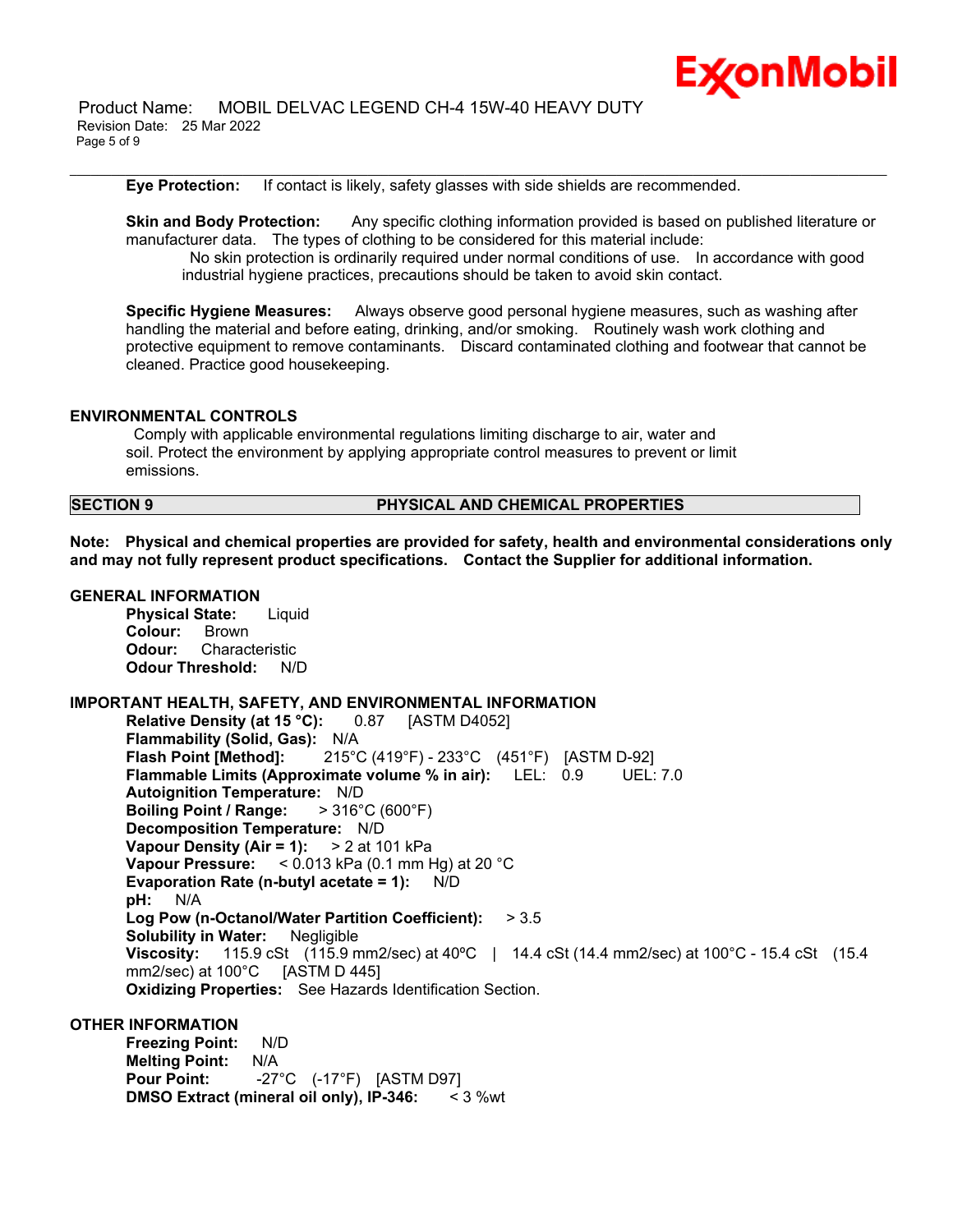

 Product Name: MOBIL DELVAC LEGEND CH-4 15W-40 HEAVY DUTY Revision Date: 25 Mar 2022 Page 5 of 9

**Eye Protection:** If contact is likely, safety glasses with side shields are recommended.

**Skin and Body Protection:** Any specific clothing information provided is based on published literature or manufacturer data. The types of clothing to be considered for this material include: No skin protection is ordinarily required under normal conditions of use. In accordance with good industrial hygiene practices, precautions should be taken to avoid skin contact.

\_\_\_\_\_\_\_\_\_\_\_\_\_\_\_\_\_\_\_\_\_\_\_\_\_\_\_\_\_\_\_\_\_\_\_\_\_\_\_\_\_\_\_\_\_\_\_\_\_\_\_\_\_\_\_\_\_\_\_\_\_\_\_\_\_\_\_\_\_\_\_\_\_\_\_\_\_\_\_\_\_\_\_\_\_\_\_\_\_\_\_\_\_\_\_\_\_\_\_\_\_\_\_\_\_\_\_\_\_\_\_\_\_\_\_\_\_\_

**Specific Hygiene Measures:** Always observe good personal hygiene measures, such as washing after handling the material and before eating, drinking, and/or smoking. Routinely wash work clothing and protective equipment to remove contaminants. Discard contaminated clothing and footwear that cannot be cleaned. Practice good housekeeping.

### **ENVIRONMENTAL CONTROLS**

Comply with applicable environmental regulations limiting discharge to air, water and soil. Protect the environment by applying appropriate control measures to prevent or limit emissions.

# **SECTION 9 PHYSICAL AND CHEMICAL PROPERTIES**

**Note: Physical and chemical properties are provided for safety, health and environmental considerations only and may not fully represent product specifications. Contact the Supplier for additional information.**

### **GENERAL INFORMATION**

**Physical State:** Liquid **Colour:** Brown **Odour:** Characteristic **Odour Threshold:** N/D

# **IMPORTANT HEALTH, SAFETY, AND ENVIRONMENTAL INFORMATION**

**Relative Density (at 15 °C):** 0.87 [ASTM D4052] **Flammability (Solid, Gas):** N/A **Flash Point [Method]:** 215°C (419°F) - 233°C (451°F) [ASTM D-92] **Flammable Limits (Approximate volume % in air):** LEL: 0.9 UEL: 7.0 **Autoignition Temperature:** N/D **Boiling Point / Range:** > 316°C (600°F) **Decomposition Temperature:** N/D **Vapour Density (Air = 1):** > 2 at 101 kPa **Vapour Pressure:** < 0.013 kPa (0.1 mm Hg) at 20 °C **Evaporation Rate (n-butyl acetate = 1):** N/D **pH:** N/A **Log Pow (n-Octanol/Water Partition Coefficient):** > 3.5 **Solubility in Water:** Negligible **Viscosity:** 115.9 cSt (115.9 mm2/sec) at 40°C | 14.4 cSt (14.4 mm2/sec) at 100°C - 15.4 cSt (15.4 mm2/sec) at  $100^{\circ}$ C [ASTM D 445] **Oxidizing Properties:** See Hazards Identification Section.

# **OTHER INFORMATION**

**Freezing Point:** N/D **Melting Point:** N/A **Pour Point:** -27°C (-17°F) [ASTM D97] **DMSO Extract (mineral oil only), IP-346:** < 3 %wt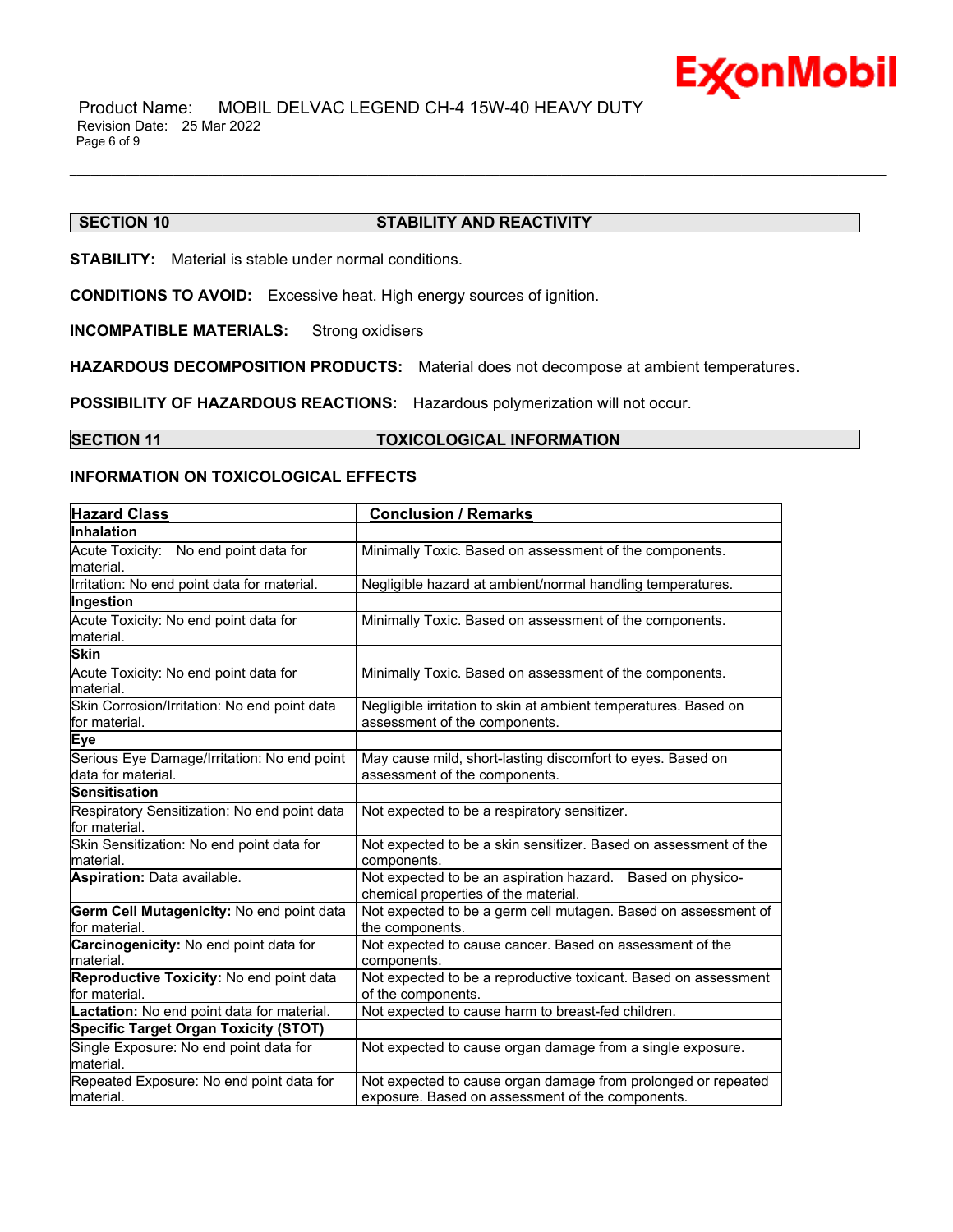

 Product Name: MOBIL DELVAC LEGEND CH-4 15W-40 HEAVY DUTY Revision Date: 25 Mar 2022 Page 6 of 9

# **SECTION 10 STABILITY AND REACTIVITY**

**STABILITY:** Material is stable under normal conditions.

**CONDITIONS TO AVOID:** Excessive heat. High energy sources of ignition.

**INCOMPATIBLE MATERIALS:** Strong oxidisers

**HAZARDOUS DECOMPOSITION PRODUCTS:** Material does not decompose at ambient temperatures.

**POSSIBILITY OF HAZARDOUS REACTIONS:** Hazardous polymerization will not occur.

**SECTION 11 TOXICOLOGICAL INFORMATION**

\_\_\_\_\_\_\_\_\_\_\_\_\_\_\_\_\_\_\_\_\_\_\_\_\_\_\_\_\_\_\_\_\_\_\_\_\_\_\_\_\_\_\_\_\_\_\_\_\_\_\_\_\_\_\_\_\_\_\_\_\_\_\_\_\_\_\_\_\_\_\_\_\_\_\_\_\_\_\_\_\_\_\_\_\_\_\_\_\_\_\_\_\_\_\_\_\_\_\_\_\_\_\_\_\_\_\_\_\_\_\_\_\_\_\_\_\_\_

# **INFORMATION ON TOXICOLOGICAL EFFECTS**

| <b>Hazard Class</b>                                               | <b>Conclusion / Remarks</b>                                                                                       |
|-------------------------------------------------------------------|-------------------------------------------------------------------------------------------------------------------|
| <b>Inhalation</b>                                                 |                                                                                                                   |
| Acute Toxicity: No end point data for<br>material.                | Minimally Toxic. Based on assessment of the components.                                                           |
| Irritation: No end point data for material.                       | Negligible hazard at ambient/normal handling temperatures.                                                        |
| Ingestion                                                         |                                                                                                                   |
| Acute Toxicity: No end point data for<br>material.                | Minimally Toxic. Based on assessment of the components.                                                           |
| <b>Skin</b>                                                       |                                                                                                                   |
| Acute Toxicity: No end point data for<br>material.                | Minimally Toxic. Based on assessment of the components.                                                           |
| Skin Corrosion/Irritation: No end point data<br>for material.     | Negligible irritation to skin at ambient temperatures. Based on<br>assessment of the components.                  |
| <b>Eye</b>                                                        |                                                                                                                   |
| Serious Eye Damage/Irritation: No end point<br>data for material. | May cause mild, short-lasting discomfort to eyes. Based on<br>assessment of the components.                       |
| <b>Sensitisation</b>                                              |                                                                                                                   |
| Respiratory Sensitization: No end point data<br>for material.     | Not expected to be a respiratory sensitizer.                                                                      |
| Skin Sensitization: No end point data for<br>Imaterial.           | Not expected to be a skin sensitizer. Based on assessment of the<br>components.                                   |
| Aspiration: Data available.                                       | Not expected to be an aspiration hazard. Based on physico-<br>chemical properties of the material.                |
| Germ Cell Mutagenicity: No end point data<br>for material.        | Not expected to be a germ cell mutagen. Based on assessment of<br>the components.                                 |
| Carcinogenicity: No end point data for<br>material.               | Not expected to cause cancer. Based on assessment of the<br>components.                                           |
| Reproductive Toxicity: No end point data<br>for material.         | Not expected to be a reproductive toxicant. Based on assessment<br>of the components.                             |
| Lactation: No end point data for material.                        | Not expected to cause harm to breast-fed children.                                                                |
| <b>Specific Target Organ Toxicity (STOT)</b>                      |                                                                                                                   |
| Single Exposure: No end point data for<br>material.               | Not expected to cause organ damage from a single exposure.                                                        |
| Repeated Exposure: No end point data for<br>material.             | Not expected to cause organ damage from prolonged or repeated<br>exposure. Based on assessment of the components. |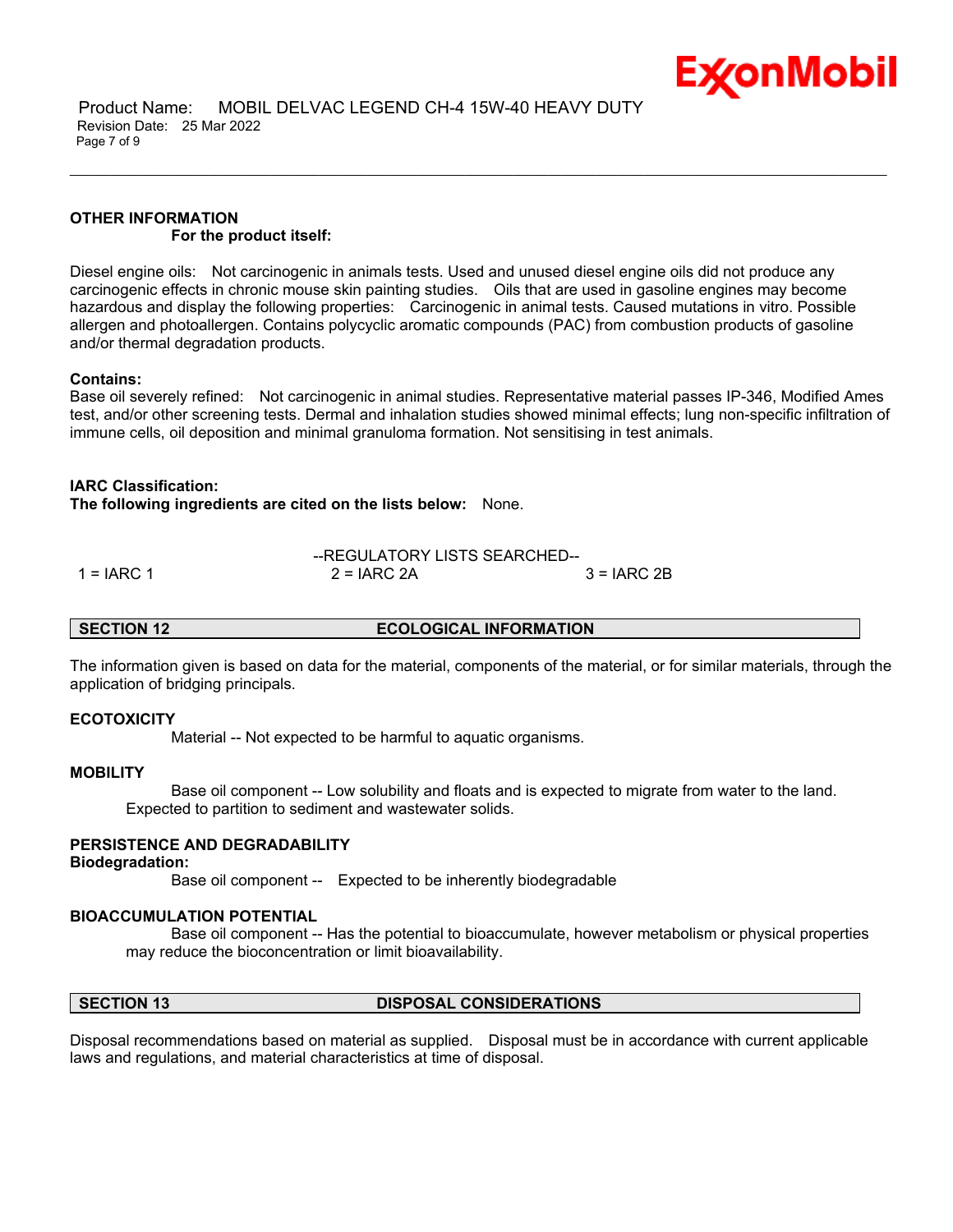

# **OTHER INFORMATION For the product itself:**

Diesel engine oils: Not carcinogenic in animals tests. Used and unused diesel engine oils did not produce any carcinogenic effects in chronic mouse skin painting studies. Oils that are used in gasoline engines may become hazardous and display the following properties: Carcinogenic in animal tests. Caused mutations in vitro. Possible allergen and photoallergen. Contains polycyclic aromatic compounds (PAC) from combustion products of gasoline and/or thermal degradation products.

\_\_\_\_\_\_\_\_\_\_\_\_\_\_\_\_\_\_\_\_\_\_\_\_\_\_\_\_\_\_\_\_\_\_\_\_\_\_\_\_\_\_\_\_\_\_\_\_\_\_\_\_\_\_\_\_\_\_\_\_\_\_\_\_\_\_\_\_\_\_\_\_\_\_\_\_\_\_\_\_\_\_\_\_\_\_\_\_\_\_\_\_\_\_\_\_\_\_\_\_\_\_\_\_\_\_\_\_\_\_\_\_\_\_\_\_\_\_

# **Contains:**

Base oil severely refined: Not carcinogenic in animal studies. Representative material passes IP-346, Modified Ames test, and/or other screening tests. Dermal and inhalation studies showed minimal effects; lung non-specific infiltration of immune cells, oil deposition and minimal granuloma formation. Not sensitising in test animals.

# **IARC Classification:**

**The following ingredients are cited on the lists below:** None.

|              | --REGULATORY LISTS SEARCHED-- |              |
|--------------|-------------------------------|--------------|
| $1 = IARC 1$ | $2 = IARC 2A$                 | $3 = IARC2B$ |

**SECTION 12 ECOLOGICAL INFORMATION**

The information given is based on data for the material, components of the material, or for similar materials, through the application of bridging principals.

# **ECOTOXICITY**

Material -- Not expected to be harmful to aquatic organisms.

# **MOBILITY**

 Base oil component -- Low solubility and floats and is expected to migrate from water to the land. Expected to partition to sediment and wastewater solids.

# **PERSISTENCE AND DEGRADABILITY**

### **Biodegradation:**

Base oil component -- Expected to be inherently biodegradable

# **BIOACCUMULATION POTENTIAL**

 Base oil component -- Has the potential to bioaccumulate, however metabolism or physical properties may reduce the bioconcentration or limit bioavailability.

# **SECTION 13 DISPOSAL CONSIDERATIONS**

Disposal recommendations based on material as supplied. Disposal must be in accordance with current applicable laws and regulations, and material characteristics at time of disposal.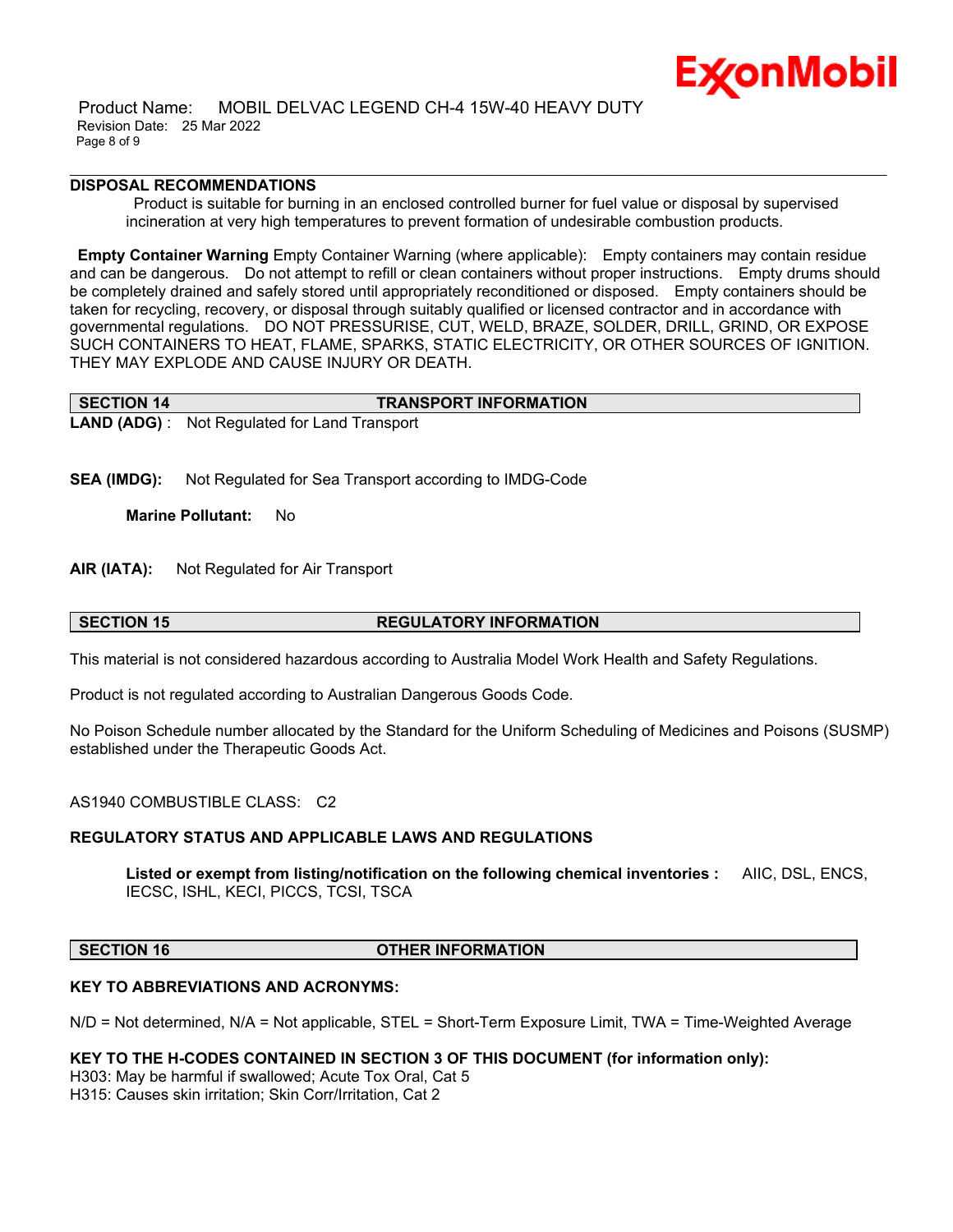

 Product Name: MOBIL DELVAC LEGEND CH-4 15W-40 HEAVY DUTY Revision Date: 25 Mar 2022 Page 8 of 9

# **DISPOSAL RECOMMENDATIONS**

Product is suitable for burning in an enclosed controlled burner for fuel value or disposal by supervised incineration at very high temperatures to prevent formation of undesirable combustion products.

\_\_\_\_\_\_\_\_\_\_\_\_\_\_\_\_\_\_\_\_\_\_\_\_\_\_\_\_\_\_\_\_\_\_\_\_\_\_\_\_\_\_\_\_\_\_\_\_\_\_\_\_\_\_\_\_\_\_\_\_\_\_\_\_\_\_\_\_\_\_\_\_\_\_\_\_\_\_\_\_\_\_\_\_\_\_\_\_\_\_\_\_\_\_\_\_\_\_\_\_\_\_\_\_\_\_\_\_\_\_\_\_\_\_\_\_\_\_

**Empty Container Warning** Empty Container Warning (where applicable): Empty containers may contain residue and can be dangerous. Do not attempt to refill or clean containers without proper instructions. Empty drums should be completely drained and safely stored until appropriately reconditioned or disposed. Empty containers should be taken for recycling, recovery, or disposal through suitably qualified or licensed contractor and in accordance with governmental regulations. DO NOT PRESSURISE, CUT, WELD, BRAZE, SOLDER, DRILL, GRIND, OR EXPOSE SUCH CONTAINERS TO HEAT, FLAME, SPARKS, STATIC ELECTRICITY, OR OTHER SOURCES OF IGNITION. THEY MAY EXPLODE AND CAUSE INJURY OR DEATH.

| <b>SECTION 14</b> | <b>TRANSPORT INFORMATION</b>                                                                                                                                                                                                                                                                     |
|-------------------|--------------------------------------------------------------------------------------------------------------------------------------------------------------------------------------------------------------------------------------------------------------------------------------------------|
|                   | $\mathbf{I}$ and $\mathbf{A}$ and $\mathbf{A}$ and $\mathbf{A}$ and $\mathbf{A}$ and $\mathbf{A}$ and $\mathbf{A}$ and $\mathbf{A}$ and $\mathbf{A}$ and $\mathbf{A}$ and $\mathbf{A}$ and $\mathbf{A}$ and $\mathbf{A}$ and $\mathbf{A}$ and $\mathbf{A}$ and $\mathbf{A}$ and $\mathbf{A}$ and |

**LAND (ADG)** : Not Regulated for Land Transport

**SEA (IMDG):** Not Regulated for Sea Transport according to IMDG-Code

**Marine Pollutant:** No

**AIR (IATA):** Not Regulated for Air Transport

# **SECTION 15 REGULATORY INFORMATION**

This material is not considered hazardous according to Australia Model Work Health and Safety Regulations.

Product is not regulated according to Australian Dangerous Goods Code.

No Poison Schedule number allocated by the Standard for the Uniform Scheduling of Medicines and Poisons (SUSMP) established under the Therapeutic Goods Act.

AS1940 COMBUSTIBLE CLASS: C2

# **REGULATORY STATUS AND APPLICABLE LAWS AND REGULATIONS**

**Listed or exempt from listing/notification on the following chemical inventories :** AIIC, DSL, ENCS, IECSC, ISHL, KECI, PICCS, TCSI, TSCA

# **SECTION 16 OTHER INFORMATION**

# **KEY TO ABBREVIATIONS AND ACRONYMS:**

N/D = Not determined, N/A = Not applicable, STEL = Short-Term Exposure Limit, TWA = Time-Weighted Average

**KEY TO THE H-CODES CONTAINED IN SECTION 3 OF THIS DOCUMENT (for information only):**

H303: May be harmful if swallowed; Acute Tox Oral, Cat 5 H315: Causes skin irritation; Skin Corr/Irritation, Cat 2